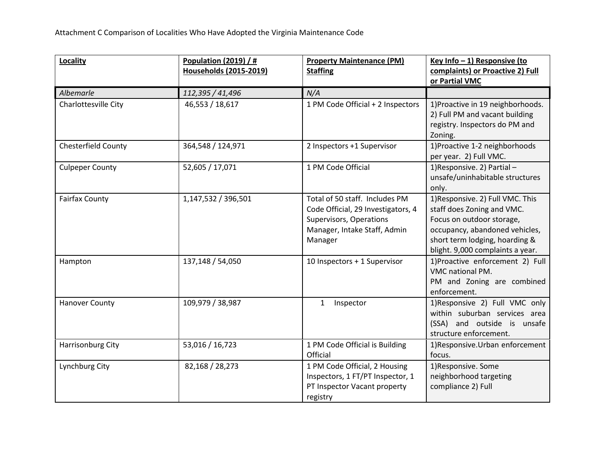| Locality               | <b>Population (2019) / #</b><br><b>Households (2015-2019)</b> | <b>Property Maintenance (PM)</b><br><b>Staffing</b>                                                                                        | Key Info - 1) Responsive (to<br>complaints) or Proactive 2) Full                                                                                                                                    |
|------------------------|---------------------------------------------------------------|--------------------------------------------------------------------------------------------------------------------------------------------|-----------------------------------------------------------------------------------------------------------------------------------------------------------------------------------------------------|
|                        |                                                               |                                                                                                                                            | or Partial VMC                                                                                                                                                                                      |
| Albemarle              | 112,395 / 41,496                                              | N/A                                                                                                                                        |                                                                                                                                                                                                     |
| Charlottesville City   | 46,553 / 18,617                                               | 1 PM Code Official + 2 Inspectors                                                                                                          | 1) Proactive in 19 neighborhoods.<br>2) Full PM and vacant building<br>registry. Inspectors do PM and<br>Zoning.                                                                                    |
| Chesterfield County    | 364,548 / 124,971                                             | 2 Inspectors +1 Supervisor                                                                                                                 | 1) Proactive 1-2 neighborhoods<br>per year. 2) Full VMC.                                                                                                                                            |
| <b>Culpeper County</b> | 52,605 / 17,071                                               | 1 PM Code Official                                                                                                                         | 1) Responsive. 2) Partial -<br>unsafe/uninhabitable structures<br>only.                                                                                                                             |
| <b>Fairfax County</b>  | 1,147,532 / 396,501                                           | Total of 50 staff. Includes PM<br>Code Official, 29 Investigators, 4<br>Supervisors, Operations<br>Manager, Intake Staff, Admin<br>Manager | 1) Responsive. 2) Full VMC. This<br>staff does Zoning and VMC.<br>Focus on outdoor storage,<br>occupancy, abandoned vehicles,<br>short term lodging, hoarding &<br>blight. 9,000 complaints a year. |
| Hampton                | 137,148 / 54,050                                              | 10 Inspectors + 1 Supervisor                                                                                                               | 1) Proactive enforcement 2) Full<br>VMC national PM.<br>PM and Zoning are combined<br>enforcement.                                                                                                  |
| <b>Hanover County</b>  | 109,979 / 38,987                                              | Inspector<br>$\mathbf{1}$                                                                                                                  | 1)Responsive 2) Full VMC only<br>within suburban services area<br>(SSA) and outside is unsafe<br>structure enforcement.                                                                             |
| Harrisonburg City      | 53,016 / 16,723                                               | 1 PM Code Official is Building<br>Official                                                                                                 | 1) Responsive. Urban enforcement<br>focus.                                                                                                                                                          |
| Lynchburg City         | 82,168 / 28,273                                               | 1 PM Code Official, 2 Housing<br>Inspectors, 1 FT/PT Inspector, 1<br>PT Inspector Vacant property<br>registry                              | 1) Responsive. Some<br>neighborhood targeting<br>compliance 2) Full                                                                                                                                 |